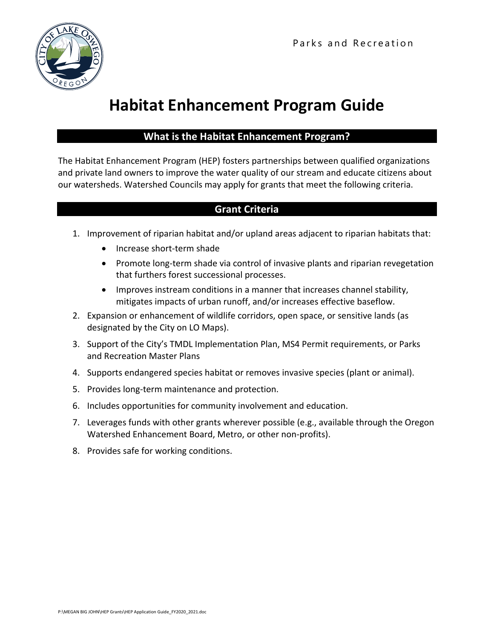

# **Habitat Enhancement Program Guide**

# **What is the Habitat Enhancement Program?**

The Habitat Enhancement Program (HEP) fosters partnerships between qualified organizations and private land owners to improve the water quality of our stream and educate citizens about our watersheds. Watershed Councils may apply for grants that meet the following criteria.

# **Grant Criteria**

- 1. Improvement of riparian habitat and/or upland areas adjacent to riparian habitats that:
	- Increase short-term shade
	- Promote long-term shade via control of invasive plants and riparian revegetation that furthers forest successional processes.
	- Improves instream conditions in a manner that increases channel stability, mitigates impacts of urban runoff, and/or increases effective baseflow.
- 2. Expansion or enhancement of wildlife corridors, open space, or sensitive lands (as designated by the City on LO Maps).
- 3. Support of the City's TMDL Implementation Plan, MS4 Permit requirements, or Parks and Recreation Master Plans
- 4. Supports endangered species habitat or removes invasive species (plant or animal).
- 5. Provides long-term maintenance and protection.
- 6. Includes opportunities for community involvement and education.
- 7. Leverages funds with other grants wherever possible (e.g., available through the Oregon Watershed Enhancement Board, Metro, or other non‐profits).
- 8. Provides safe for working conditions.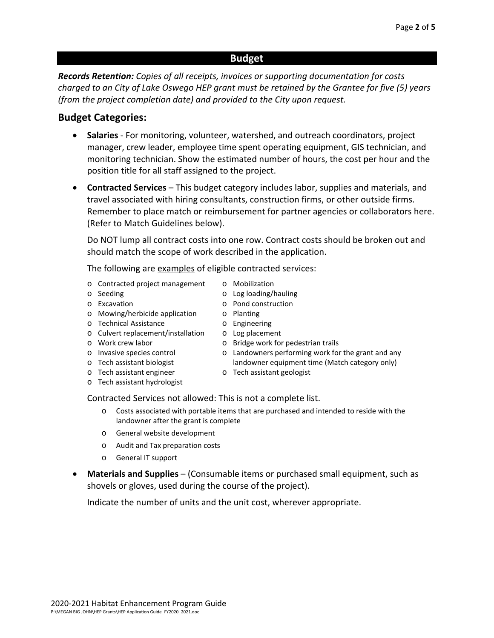## **Budget**

*Records Retention: Copies of all receipts, invoices or supporting documentation for costs charged to an City of Lake Oswego HEP grant must be retained by the Grantee for five (5) years (from the project completion date) and provided to the City upon request.* 

## **Budget Categories:**

- **Salaries** ‐ For monitoring, volunteer, watershed, and outreach coordinators, project manager, crew leader, employee time spent operating equipment, GIS technician, and monitoring technician. Show the estimated number of hours, the cost per hour and the position title for all staff assigned to the project.
- **Contracted Services** This budget category includes labor, supplies and materials, and travel associated with hiring consultants, construction firms, or other outside firms. Remember to place match or reimbursement for partner agencies or collaborators here. (Refer to Match Guidelines below).

Do NOT lump all contract costs into one row. Contract costs should be broken out and should match the scope of work described in the application.

> o Mobilization o Log loading/hauling o Pond construction

o Planting o Engineering o Log placement

The following are examples of eligible contracted services:

- o Contracted project management
- o Seeding
- o Excavation
- o Mowing/herbicide application
- o Technical Assistance
- o Culvert replacement/installation
- o Work crew labor
- o Invasive species control
- o Tech assistant biologist o Tech assistant engineer

o Tech assistant hydrologist

- o Bridge work for pedestrian trails
- o Landowners performing work for the grant and any landowner equipment time (Match category only)
- o Tech assistant geologist
- Contracted Services not allowed: This is not a complete list.
	- o Costs associated with portable items that are purchased and intended to reside with the
		- landowner after the grant is complete
	- o General website development
	- o Audit and Tax preparation costs
	- o General IT support
- **Materials and Supplies**  (Consumable items or purchased small equipment, such as shovels or gloves, used during the course of the project).

Indicate the number of units and the unit cost, wherever appropriate.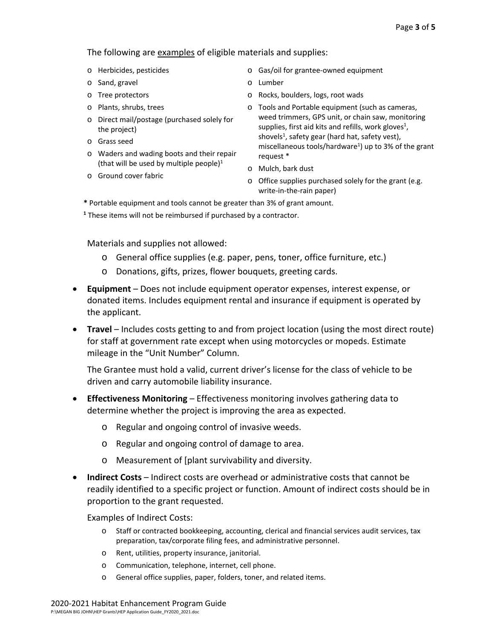The following are examples of eligible materials and supplies:

- o Herbicides, pesticides
- o Sand, gravel
- o Tree protectors
- o Plants, shrubs, trees
- o Direct mail/postage (purchased solely for the project)
- o Grass seed
- o Waders and wading boots and their repair (that will be used by multiple people) $1$
- o Ground cover fabric
- o Gas/oil for grantee‐owned equipment
- o Lumber
- o Rocks, boulders, logs, root wads
- o Tools and Portable equipment (such as cameras, weed trimmers, GPS unit, or chain saw, monitoring supplies, first aid kits and refills, work gloves<sup>1</sup>, shovels<sup>1</sup>, safety gear (hard hat, safety vest), miscellaneous tools/hardware<sup>1</sup>) up to 3% of the grant request \*
- o Mulch, bark dust
- o Office supplies purchased solely for the grant (e.g. write-in-the-rain paper)
- **\*** Portable equipment and tools cannot be greater than 3% of grant amount.
- **1** These items will not be reimbursed if purchased by a contractor.

Materials and supplies not allowed:

- o General office supplies (e.g. paper, pens, toner, office furniture, etc.)
- o Donations, gifts, prizes, flower bouquets, greeting cards.
- **Equipment** Does not include equipment operator expenses, interest expense, or donated items. Includes equipment rental and insurance if equipment is operated by the applicant.
- **Travel** Includes costs getting to and from project location (using the most direct route) for staff at government rate except when using motorcycles or mopeds. Estimate mileage in the "Unit Number" Column.

The Grantee must hold a valid, current driver's license for the class of vehicle to be driven and carry automobile liability insurance.

- **Effectiveness Monitoring** Effectiveness monitoring involves gathering data to determine whether the project is improving the area as expected.
	- o Regular and ongoing control of invasive weeds.
	- o Regular and ongoing control of damage to area.
	- o Measurement of [plant survivability and diversity.
- **Indirect Costs** Indirect costs are overhead or administrative costs that cannot be readily identified to a specific project or function. Amount of indirect costs should be in proportion to the grant requested.

Examples of Indirect Costs:

- o Staff or contracted bookkeeping, accounting, clerical and financial services audit services, tax preparation, tax/corporate filing fees, and administrative personnel.
- o Rent, utilities, property insurance, janitorial.
- o Communication, telephone, internet, cell phone.
- o General office supplies, paper, folders, toner, and related items.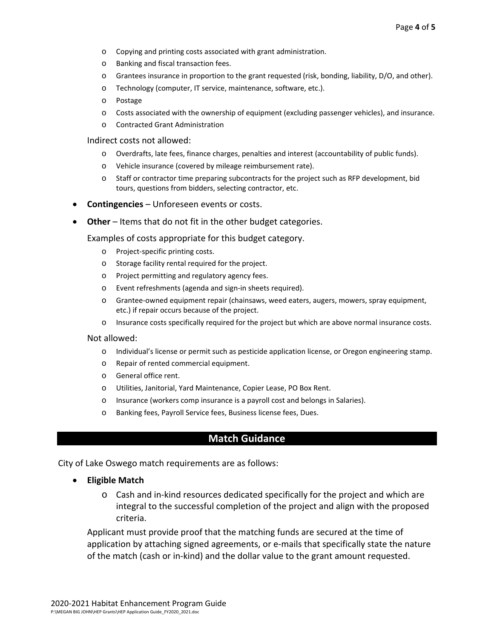- o Copying and printing costs associated with grant administration.
- o Banking and fiscal transaction fees.
- o Grantees insurance in proportion to the grant requested (risk, bonding, liability, D/O, and other).
- o Technology (computer, IT service, maintenance, software, etc.).
- o Postage
- o Costs associated with the ownership of equipment (excluding passenger vehicles), and insurance.
- o Contracted Grant Administration

#### Indirect costs not allowed:

- o Overdrafts, late fees, finance charges, penalties and interest (accountability of public funds).
- o Vehicle insurance (covered by mileage reimbursement rate).
- o Staff or contractor time preparing subcontracts for the project such as RFP development, bid tours, questions from bidders, selecting contractor, etc.
- **Contingencies** Unforeseen events or costs.
- **Other** Items that do not fit in the other budget categories.

Examples of costs appropriate for this budget category.

- o Project‐specific printing costs.
- o Storage facility rental required for the project.
- o Project permitting and regulatory agency fees.
- o Event refreshments (agenda and sign‐in sheets required).
- o Grantee‐owned equipment repair (chainsaws, weed eaters, augers, mowers, spray equipment, etc.) if repair occurs because of the project.
- o Insurance costs specifically required for the project but which are above normal insurance costs.

#### Not allowed:

- o Individual's license or permit such as pesticide application license, or Oregon engineering stamp.
- o Repair of rented commercial equipment.
- o General office rent.
- o Utilities, Janitorial, Yard Maintenance, Copier Lease, PO Box Rent.
- o Insurance (workers comp insurance is a payroll cost and belongs in Salaries).
- o Banking fees, Payroll Service fees, Business license fees, Dues.

## **Match Guidance**

City of Lake Oswego match requirements are as follows:

- **Eligible Match**
	- o Cash and in‐kind resources dedicated specifically for the project and which are integral to the successful completion of the project and align with the proposed criteria.

Applicant must provide proof that the matching funds are secured at the time of application by attaching signed agreements, or e‐mails that specifically state the nature of the match (cash or in‐kind) and the dollar value to the grant amount requested.